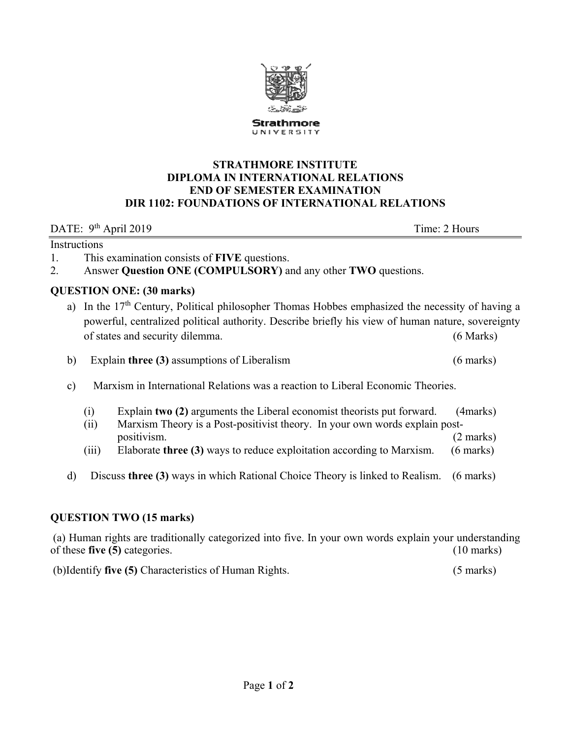

#### **STRATHMORE INSTITUTE DIPLOMA IN INTERNATIONAL RELATIONS END OF SEMESTER EXAMINATION DIR 1102: FOUNDATIONS OF INTERNATIONAL RELATIONS**

DATE: 9<sup>th</sup> April 2019 Time: 2 Hours

#### Instructions

1. This examination consists of **FIVE** questions.

2. Answer **Question ONE (COMPULSORY)** and any other **TWO** questions.

## **QUESTION ONE:** (30 marks)

a) In the 17<sup>th</sup> Century, Political philosopher Thomas Hobbes emphasized the necessity of having a powerful, centralized political authority. Describe briefly his view of human nature, sovereignty of states and security dilemma. (6 Marks)

b) Explain **three (3)** assumptions of Liberalism (6 marks)

- c) Marxism in International Relations was a reaction to Liberal Economic Theories.
	- (i) Explain **two (2)** arguments the Liberal economist theorists put forward. (4marks)
	- (ii) Marxism Theory is a Post-positivist theory. In your own words explain postpositivism. (2 marks)
	- (iii) Elaborate **three (3)** ways to reduce exploitation according to Marxism. (6 marks)
- d) Discuss **three (3)** ways in which Rational Choice Theory is linked to Realism. (6 marks)

# **QUESTION TWO (15 marks)**

 (a) Human rights are traditionally categorized into five. In your own words explain your understanding of these **five (5)** categories. (10 marks)

(b)Identify **five (5)** Characteristics of Human Rights. (5 marks)